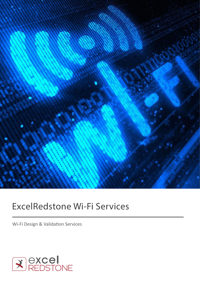

## ExcelRedstone Wi-Fi Services

Wi-Fi Design & Validation Services

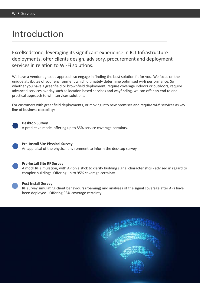## Introduction

ExcelRedstone, leveraging its significant experience in ICT Infrastructure deployments, offer clients design, advisory, procurement and deployment services in relation to Wi-Fi solutions.

We have a Vendor agnostic approach so engage in finding the best solution fit for you. We focus on the unique attributes of your environment which ultimately determine optimised wi-fi performance. So whether you have a greenfield or brownfield deployment, require coverage indoors or outdoors, require advanced services overlay such as location based services and wayfinding, we can offer an end to end practical approach to wi-fi services solutions.

For customers with greenfield deployments, or moving into new premises and require wi-fi services as key line of business capability:



**Desktop Survey**

A predictive model offering up to 85% service coverage certainty.



#### **Pre-Install Site Physical Survey**

An appraisal of the physical environment to inform the desktop survey.



#### **Pre-Install Site RF Survey**

A mock RF simulation, with AP on a stick to clarify building signal characteristics - advised in regard to complex buildings. Offering up to 95% coverage certainty.



#### **Post Install Survey**

RF survey simulating client behaviours (roaming) and analyses of the signal coverage after APs have been deployed - Offering 98% coverage certainty.

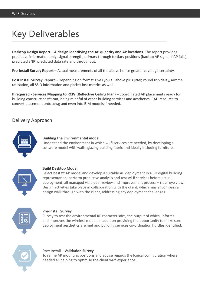# Key Deliverables

**Desktop Design Report – A design identifying the AP quantity and AP locations**. The report provides predictive information only; signal strength, primary through tertiary positions (backup AP signal if AP fails), predicted SNR, predicted data rate and throughput.

**Pre-Install Survey Report –** Actual measurements of all the above hence greater coverage certainty.

**Post Install Survey Report –** Depending on format gives you all above plus jitter, round trip delay, airtime utilisation, all SSID information and packet loss metrics as well.

**If required - Services Mapping to RCPs (Reflective Ceiling Plan) –** Coordinated AP placements ready for building construction/fit-out, being mindful of other building services and aesthetics, CAD resource to convert placement onto .dwg and even into BIM models if needed.

## Delivery Approach



### **Building the Environmental model**

Understand the environment in which wi-fi services are needed, by developing a software model with walls, glazing building fabric and ideally including furniture.



#### **Build Desktop Model**

Select best fit AP model and develop a suitable AP deployment in a 3D digital building representation, perform predictive analysis and test wi-fi services before actual deployment, all managed via a peer review and improvement process – (four eye view). Design activities take place in collaboration with the client, which may encompass a design walk through with the client, addressing any deployment challenges.



#### **Pre-Install Survey**

Survey to test the environmental RF characteristics, the output of which, informs and improves the wireless model, in addition providing the opportunity to make sure deployment aesthetics are met and building services co-ordination hurdles identified.



#### **Post Install – Validation Survey**

To refine AP mounting positions and advise regards the logical configuration where needed all helping to optimise the client wi-fi experience.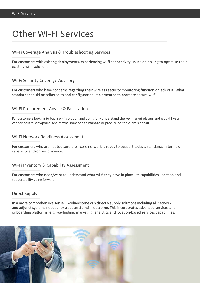## Other Wi-Fi Services

## Wi-Fi Coverage Analysis & Troubleshooting Services

For customers with existing deployments, experiencing wi-fi connectivity issues or looking to optimise their existing wi-fi solution.

## Wi-Fi Security Coverage Advisory

For customers who have concerns regarding their wireless security monitoring function or lack of it. What standards should be adhered to and configuration implemented to promote secure wi-fi.

### Wi-Fi Procurement Advice & Facilitation

For customers looking to buy a wi-fi solution and don't fully understand the key market players and would like a vendor neutral viewpoint. And maybe someone to manage or procure on the client's behalf.

### Wi-Fi Network Readiness Assessment

For customers who are not too sure their core network is ready to support today's standards in terms of capability and/or performance.

### Wi-Fi Inventory & Capability Assessment

For customers who need/want to understand what wi-fi they have in place, its capabilities, location and supportability going forward.

### Direct Supply

In a more comprehensive sense, ExcelRedstone can directly supply solutions including all network and adjunct systems needed for a successful wi-fi outcome. This incorporates advanced services and onboarding platforms. e.g. wayfinding, marketing, analytics and location-based services capabilities.